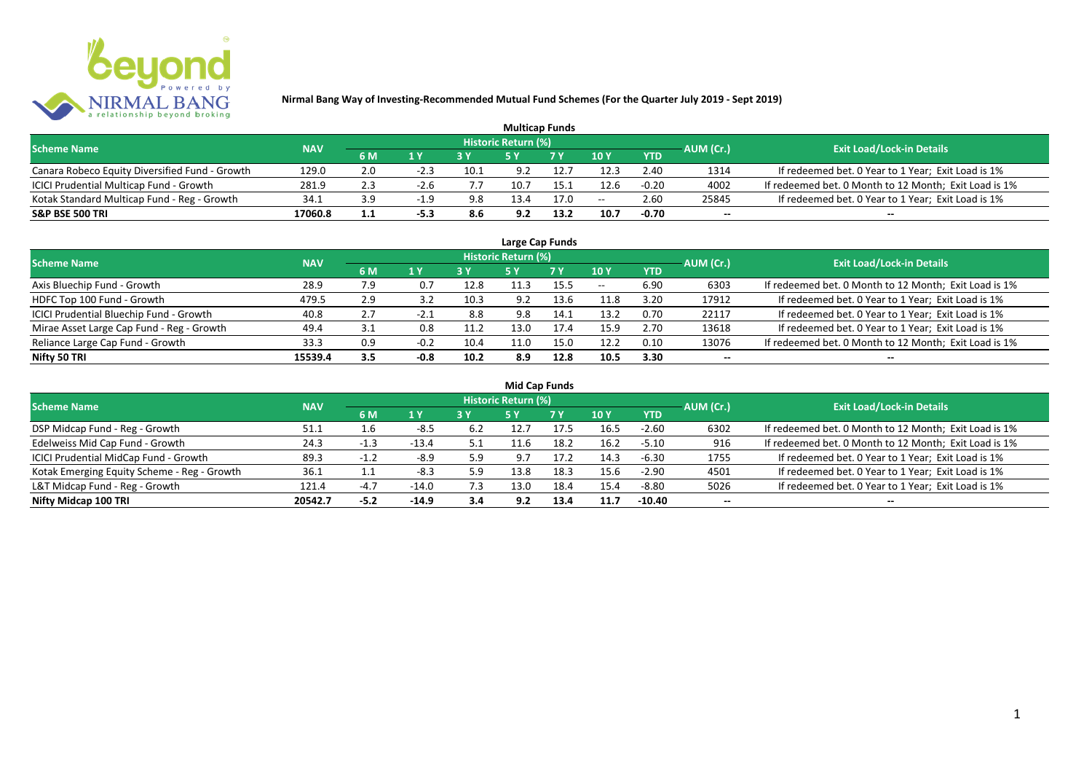

| <b>Multicap Funds</b>                          |            |     |        |      |                            |           |               |            |           |                                                       |  |  |  |
|------------------------------------------------|------------|-----|--------|------|----------------------------|-----------|---------------|------------|-----------|-------------------------------------------------------|--|--|--|
| <b>Scheme Name</b>                             | <b>NAV</b> |     |        |      | <b>Historic Return (%)</b> |           |               |            | AUM (Cr.) | <b>Exit Load/Lock-in Details</b>                      |  |  |  |
|                                                |            | 6 M | 1 Y    |      |                            | <b>7Y</b> | $\sqrt{10}$ y | <b>YTD</b> |           |                                                       |  |  |  |
| Canara Robeco Equity Diversified Fund - Growth | 129.0      | 2.0 | $-2.3$ | 10.1 | 9.2                        | 12.       | 12.3          | 2.40       | 1314      | If redeemed bet. 0 Year to 1 Year; Exit Load is 1%    |  |  |  |
| ICICI Prudential Multicap Fund - Growth        | 281.9      | 2.3 | $-2.6$ |      |                            | 15.1      | 12.6          | $-0.20$    | 4002      | If redeemed bet. 0 Month to 12 Month; Exit Load is 1% |  |  |  |
| Kotak Standard Multicap Fund - Reg - Growth    | 34.1       | 3.9 | $-1.9$ | 9.8  | 3.4                        | 17.0      | $- -$         | 2.60       | 25845     | If redeemed bet. 0 Year to 1 Year; Exit Load is 1%    |  |  |  |
| <b>S&amp;P BSE 500 TRI</b>                     | 17060.8    | 1.1 | $-5.3$ | 8.6  | 9.2                        | 13.2      | 10.7          | $-0.70$    | $-$       | $- -$                                                 |  |  |  |

| Large Cap Funds                           |            |     |        |      |                            |      |       |            |           |                                                       |  |  |  |  |
|-------------------------------------------|------------|-----|--------|------|----------------------------|------|-------|------------|-----------|-------------------------------------------------------|--|--|--|--|
| <b>Scheme Name</b>                        | <b>NAV</b> |     |        |      | <b>Historic Return (%)</b> |      |       |            | AUM (Cr.) | <b>Exit Load/Lock-in Details</b>                      |  |  |  |  |
|                                           |            | 6 M | 1Y     | 3 Y  | <b>5 Y</b>                 | 7Y   | 10Y   | <b>YTD</b> |           |                                                       |  |  |  |  |
| Axis Bluechip Fund - Growth               | 28.9       | 7.9 | 0.7    | 12.8 | 11.3                       | 15.5 | $- -$ | 6.90       | 6303      | If redeemed bet. 0 Month to 12 Month; Exit Load is 1% |  |  |  |  |
| HDFC Top 100 Fund - Growth                | 479.5      | 2.9 | 3.2    | 10.3 | 9.2                        | 13.6 | 11.8  | 3.20       | 17912     | If redeemed bet. 0 Year to 1 Year; Exit Load is 1%    |  |  |  |  |
| ICICI Prudential Bluechip Fund - Growth   | 40.8       | 2.7 | -2.1   | 8.8  | 9.8                        | 14.1 | 13.2  | 0.70       | 22117     | If redeemed bet. 0 Year to 1 Year; Exit Load is 1%    |  |  |  |  |
| Mirae Asset Large Cap Fund - Reg - Growth | 49.4       | 3.1 | 0.8    | 11.2 | 13.0                       | 17.4 | 15.9  | 2.70       | 13618     | If redeemed bet. 0 Year to 1 Year; Exit Load is 1%    |  |  |  |  |
| Reliance Large Cap Fund - Growth          | 33.3       | 0.9 | $-0.2$ | 10.4 | 11.0                       | 15.0 | 12.2  | 0.10       | 13076     | If redeemed bet. 0 Month to 12 Month; Exit Load is 1% |  |  |  |  |
| Nifty 50 TRI                              | 15539.4    | 3.5 | $-0.8$ | 10.2 | 8.9                        | 12.8 | 10.5  | 3.30       |           | $- -$                                                 |  |  |  |  |

| <b>Mid Cap Funds</b>                        |            |        |         |     |                            |      |      |            |                          |                                                       |  |  |  |  |
|---------------------------------------------|------------|--------|---------|-----|----------------------------|------|------|------------|--------------------------|-------------------------------------------------------|--|--|--|--|
| <b>Scheme Name</b>                          | <b>NAV</b> |        |         |     | <b>Historic Return (%)</b> |      |      |            | AUM (Cr.)                | <b>Exit Load/Lock-in Details</b>                      |  |  |  |  |
|                                             |            | 6 M    | 1 Y     |     | 5 Y                        | 7 Y  | 10Y  | <b>YTD</b> |                          |                                                       |  |  |  |  |
| DSP Midcap Fund - Reg - Growth              | 51.1       | 1.6    | $-8.5$  | 6.2 | 12.7                       | 17.5 | 16.5 | $-2.60$    | 6302                     | If redeemed bet. 0 Month to 12 Month; Exit Load is 1% |  |  |  |  |
| Edelweiss Mid Cap Fund - Growth             | 24.3       | $-1.3$ | $-13.4$ | 5.1 | 11.6                       | 18.2 | 16.2 | $-5.10$    | 916                      | If redeemed bet. 0 Month to 12 Month; Exit Load is 1% |  |  |  |  |
| ICICI Prudential MidCap Fund - Growth       | 89.3       | $-1.2$ | $-8.9$  | 5.9 | 9.7                        | 17.2 | 14.3 | $-6.30$    | 1755                     | If redeemed bet. 0 Year to 1 Year; Exit Load is 1%    |  |  |  |  |
| Kotak Emerging Equity Scheme - Reg - Growth | 36.1       | .      | $-8.3$  | 5.9 | 13.8                       | 18.3 | 15.6 | $-2.90$    | 4501                     | If redeemed bet. 0 Year to 1 Year; Exit Load is 1%    |  |  |  |  |
| L&T Midcap Fund - Reg - Growth              | 121.4      | $-4.7$ | $-14.0$ | 7.3 | 13.0                       | 18.4 | 15.4 | -8.80      | 5026                     | If redeemed bet. 0 Year to 1 Year; Exit Load is 1%    |  |  |  |  |
| Nifty Midcap 100 TRI                        | 20542.7    | $-5.2$ | $-14.9$ | 3.4 | 9.2                        | 13.4 | 11.7 | -10.40     | $\overline{\phantom{a}}$ | $- -$                                                 |  |  |  |  |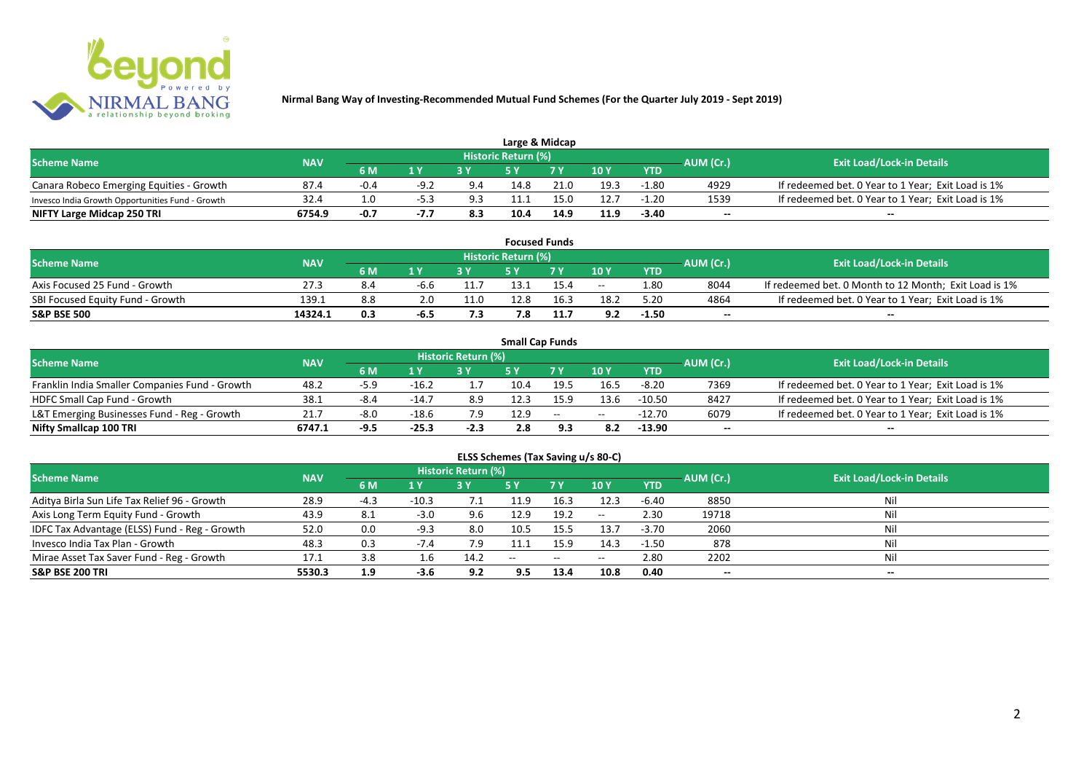

| Large & Midcap                                   |            |        |                         |     |                            |      |      |            |           |                                                    |  |  |  |
|--------------------------------------------------|------------|--------|-------------------------|-----|----------------------------|------|------|------------|-----------|----------------------------------------------------|--|--|--|
| <b>Scheme Name</b>                               | <b>NAV</b> |        |                         |     | <b>Historic Return (%)</b> |      |      |            | AUM (Cr.) | <b>Exit Load/Lock-in Details</b>                   |  |  |  |
|                                                  |            | 6 M    | $\mathbf{A} \mathbf{V}$ |     |                            | 7 V  | 10Y  | <b>YTD</b> |           |                                                    |  |  |  |
| Canara Robeco Emerging Equities - Growth         | 87.4       | $-0.4$ | $-9.2$                  | 9.4 | 14.8                       | 21.0 | 19.3 | -1.80      | 4929      | If redeemed bet. 0 Year to 1 Year; Exit Load is 1% |  |  |  |
| Invesco India Growth Opportunities Fund - Growth | 32.4       |        |                         | 9.3 | 11.1                       |      | 12.7 | $-1.20$    | 1539      | If redeemed bet. 0 Year to 1 Year; Exit Load is 1% |  |  |  |
| NIFTY Large Midcap 250 TRI                       | 6754.9     | $-0.7$ | -7.7                    | 8.3 | 10.4                       | 14.9 | 11.9 | $-3.40$    | $- -$     | $- -$                                              |  |  |  |

| <b>Focused Funds</b>             |            |     |        |              |                     |      |       |            |           |                                                       |  |  |  |
|----------------------------------|------------|-----|--------|--------------|---------------------|------|-------|------------|-----------|-------------------------------------------------------|--|--|--|
| <b>Scheme Name</b>               | <b>NAV</b> |     |        |              | Historic Return (%) |      |       |            | AUM (Cr.) | <b>Exit Load/Lock-in Details</b>                      |  |  |  |
|                                  |            | 6 M | 1 V    |              | cν                  | 7 V  | 10 Y  | <b>YTD</b> |           |                                                       |  |  |  |
| Axis Focused 25 Fund - Growth    | 27.3       | 8.4 | -6.6   |              | 13.1                | 15.4 | $- -$ | 1.80       | 8044      | If redeemed bet. 0 Month to 12 Month; Exit Load is 1% |  |  |  |
| SBI Focused Equity Fund - Growth | 139.1      | 8.8 |        | 11.0         | 12.8                | 16.3 | 18.2  | 5.20       | 4864      | If redeemed bet. 0 Year to 1 Year; Exit Load is 1%    |  |  |  |
| <b>S&amp;P BSE 500</b>           | 14324.1    | 0.3 | $-6.5$ | - -<br>, , , | 7.8                 | 11.7 | 9.2   | $-1.50$    | $- -$     | $- -$                                                 |  |  |  |

|                                                |            |           |         |                     |      | <b>Small Cap Funds</b>   |                 |            |           |                                                    |
|------------------------------------------------|------------|-----------|---------|---------------------|------|--------------------------|-----------------|------------|-----------|----------------------------------------------------|
| <b>Scheme Name</b>                             | <b>NAV</b> |           |         | Historic Return (%) |      |                          |                 |            | AUM (Cr.) | <b>Exit Load/Lock-in Details</b>                   |
|                                                |            | <b>6M</b> | 1 Y     |                     |      |                          | 10 <sub>Y</sub> | <b>YTD</b> |           |                                                    |
| Franklin India Smaller Companies Fund - Growth | 48.2       | $-5.9$    | $-16.2$ |                     | 10.4 | 19.5                     | 16.5            | $-8.20$    | 7369      | If redeemed bet. 0 Year to 1 Year; Exit Load is 1% |
| HDFC Small Cap Fund - Growth                   | 38.1       | $-8.4$    | $-14.7$ | 8.9                 | 12.3 | 15.9                     | 13.6            | $-10.50$   | 8427      | If redeemed bet. 0 Year to 1 Year; Exit Load is 1% |
| L&T Emerging Businesses Fund - Reg - Growth    | 21.7       | $-8.0$    | $-18.6$ | 7.9                 | 12.9 | $\overline{\phantom{a}}$ | $- -$           | $-12.70$   | 6079      | If redeemed bet. 0 Year to 1 Year; Exit Load is 1% |
| Nifty Smallcap 100 TRI                         | 6747.1     | -9.5      | $-25.3$ | $-2.3$              | 2.8  |                          | 8.2             | $-13.90$   | $- -$     | $- -$                                              |

# **ELSS Schemes (Tax Saving u/s 80-C)**

| <b>Scheme Name</b>                            | <b>NAV</b> |      |         | <b>Historic Return (%)</b> |            |            |       | AUM (Cr.)  | Exit Load/Lock-in Details |       |
|-----------------------------------------------|------------|------|---------|----------------------------|------------|------------|-------|------------|---------------------------|-------|
|                                               |            | 6 M  | 1 Y     |                            | <b>5 Y</b> | <b>7 Y</b> | 10Y   | <b>YTD</b> |                           |       |
| Aditya Birla Sun Life Tax Relief 96 - Growth  | 28.9       | -4.3 | $-10.3$ |                            | 11.9       | 16.3       | 12.3  | $-6.40$    | 8850                      | Nil   |
| Axis Long Term Equity Fund - Growth           | 43.9       | 8.1  | $-3.0$  | 9.6                        | 12.9       | 19.2       | $- -$ | 2.30       | 19718                     | Nil   |
| IDFC Tax Advantage (ELSS) Fund - Reg - Growth | 52.0       | 0.0  | $-9.3$  | 8.0                        | 10.5       | 15.5       | 13.7  | $-3.70$    | 2060                      | Nil   |
| Invesco India Tax Plan - Growth               | 48.3       | 0.3  | $-7.4$  | 7.9                        | 11.1       | 15.9       | 14.3  | $-1.50$    | 878                       | Nil   |
| Mirae Asset Tax Saver Fund - Reg - Growth     | 17.1       | 3.8  | 1.6     | 14.2                       | $- -$      | $- -$      | $- -$ | 2.80       | 2202                      | Nil   |
| <b>S&amp;P BSE 200 TRI</b>                    | 5530.3     | 1.9  | -3.6    | 9.2                        | 9.5        | 13.4       | 10.8  | 0.40       | $- -$                     | $- -$ |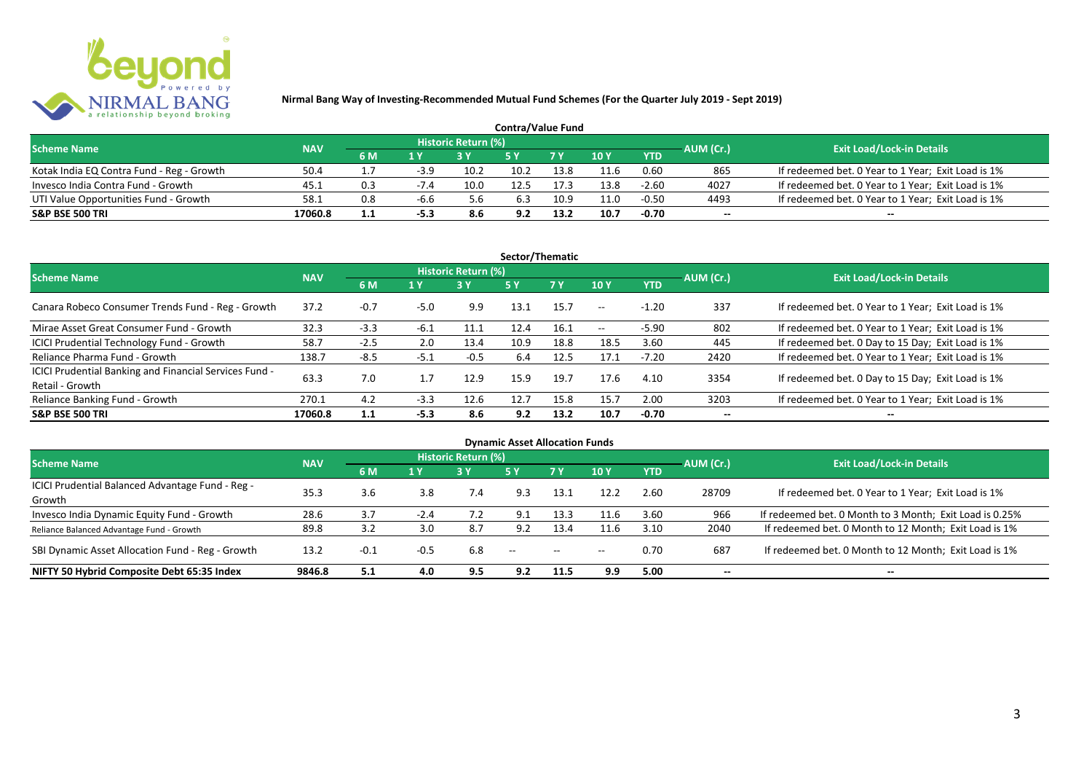

| <b>Contra/Value Fund</b>                  |            |           |        |                     |      |      |               |            |           |                                                    |  |  |  |
|-------------------------------------------|------------|-----------|--------|---------------------|------|------|---------------|------------|-----------|----------------------------------------------------|--|--|--|
| <b>Scheme Name</b>                        | <b>NAV</b> |           |        | Historic Return (%) |      |      |               |            | AUM (Cr.) | <b>Exit Load/Lock-in Details</b>                   |  |  |  |
|                                           |            | <b>6M</b> | 1 Y    |                     |      |      | $\sqrt{10}$ Y | <b>YTD</b> |           |                                                    |  |  |  |
| Kotak India EQ Contra Fund - Reg - Growth | 50.4       |           | $-3.9$ | 10.2                | 10.2 | 13.8 | 11.6          | 0.60       | 865       | If redeemed bet. 0 Year to 1 Year; Exit Load is 1% |  |  |  |
| Invesco India Contra Fund - Growth        | 45.1       | 0.3       | $-7.4$ | 10 <sub>c</sub>     | 12.5 |      | 13.8          | $-2.60$    | 4027      | If redeemed bet. 0 Year to 1 Year; Exit Load is 1% |  |  |  |
| UTI Value Opportunities Fund - Growth     | 58.1       | 0.8       | -b.b   | 5.6                 | 6.3  | 10.9 | 11.0          | $-0.50$    | 4493      | If redeemed bet. 0 Year to 1 Year; Exit Load is 1% |  |  |  |
| <b>S&amp;P BSE 500 TRI</b>                | 17060.8    | ⊥.⊥       | $-5.3$ | 8.6                 | 9.2  | 13.2 | 10.7          | $-0.70$    | --        | $- -$                                              |  |  |  |

| Sector/Thematic                                                           |            |        |        |                            |           |           |         |            |           |                                                    |  |  |  |
|---------------------------------------------------------------------------|------------|--------|--------|----------------------------|-----------|-----------|---------|------------|-----------|----------------------------------------------------|--|--|--|
| <b>Scheme Name</b>                                                        | <b>NAV</b> |        |        | <b>Historic Return (%)</b> |           |           |         |            | AUM (Cr.) | <b>Exit Load/Lock-in Details</b>                   |  |  |  |
|                                                                           |            | 6 M    | 1 Y    | 3Y                         | <b>5Y</b> | <b>7Y</b> | 10Y     | <b>YTD</b> |           |                                                    |  |  |  |
| Canara Robeco Consumer Trends Fund - Reg - Growth                         | 37.2       | $-0.7$ | $-5.0$ | 9.9                        | 13.1      | 15.7      | $- -$ . | $-1.20$    | 337       | If redeemed bet. 0 Year to 1 Year; Exit Load is 1% |  |  |  |
| Mirae Asset Great Consumer Fund - Growth                                  | 32.3       | $-3.3$ | $-6.1$ | 11.1                       | 12.4      | 16.1      | $- -$   | $-5.90$    | 802       | If redeemed bet. 0 Year to 1 Year; Exit Load is 1% |  |  |  |
| <b>ICICI Prudential Technology Fund - Growth</b>                          | 58.7       | $-2.5$ | 2.0    | 13.4                       | 10.9      | 18.8      | 18.5    | 3.60       | 445       | If redeemed bet. 0 Day to 15 Day; Exit Load is 1%  |  |  |  |
| Reliance Pharma Fund - Growth                                             | 138.7      | $-8.5$ | $-5.1$ | $-0.5$                     | 6.4       | 12.5      | 17.1    | $-7.20$    | 2420      | If redeemed bet. 0 Year to 1 Year; Exit Load is 1% |  |  |  |
| ICICI Prudential Banking and Financial Services Fund -<br>Retail - Growth | 63.3       | 7.0    | 1.7    | 12.9                       | 15.9      | 19.7      | 17.6    | 4.10       | 3354      | If redeemed bet. 0 Day to 15 Day; Exit Load is 1%  |  |  |  |
| Reliance Banking Fund - Growth                                            | 270.1      | 4.2    | $-3.3$ | 12.6                       | 12.7      | 15.8      | 15.7    | 2.00       | 3203      | If redeemed bet. 0 Year to 1 Year; Exit Load is 1% |  |  |  |
| <b>S&amp;P BSE 500 TRI</b>                                                | 17060.8    | 1.1    | $-5.3$ | 8.6                        | 9.2       | 13.2      | 10.7    | $-0.70$    | --        | --                                                 |  |  |  |

| <b>Dynamic Asset Allocation Funds</b>            |            |        |        |                            |               |            |       |            |                          |                                                         |  |  |  |
|--------------------------------------------------|------------|--------|--------|----------------------------|---------------|------------|-------|------------|--------------------------|---------------------------------------------------------|--|--|--|
| <b>Scheme Name</b>                               | <b>NAV</b> |        |        | <b>Historic Return (%)</b> |               |            |       |            | AUM (Cr.)                | <b>Exit Load/Lock-in Details</b>                        |  |  |  |
|                                                  |            | 6 M    | 1 Y    | 3Y                         | 5 Y           | <b>7Y</b>  | 10Y   | <b>YTD</b> |                          |                                                         |  |  |  |
| ICICI Prudential Balanced Advantage Fund - Reg - | 35.3       | 3.6    | 3.8    | 7.4                        | 9.3           | 13.1       | 12.2  | 2.60       | 28709                    | If redeemed bet. 0 Year to 1 Year; Exit Load is 1%      |  |  |  |
| Growth                                           |            |        |        |                            |               |            |       |            |                          |                                                         |  |  |  |
| Invesco India Dynamic Equity Fund - Growth       | 28.6       | 3.7    | $-2.4$ |                            | 9.1           | 13.3       | 11.6  | 3.60       | 966                      | If redeemed bet. 0 Month to 3 Month; Exit Load is 0.25% |  |  |  |
| Reliance Balanced Advantage Fund - Growth        | 89.8       | 3.2    | 3.0    | 8.7                        | 9.2           | 13.4       | 11.6  | 3.10       | 2040                     | If redeemed bet. 0 Month to 12 Month; Exit Load is 1%   |  |  |  |
| SBI Dynamic Asset Allocation Fund - Reg - Growth | 13.2       | $-0.1$ | $-0.5$ | 6.8                        | $\sim$ $\sim$ | $\sim$ $-$ | $- -$ | 0.70       | 687                      | If redeemed bet. 0 Month to 12 Month; Exit Load is 1%   |  |  |  |
| NIFTY 50 Hybrid Composite Debt 65:35 Index       | 9846.8     | 5.1    | 4.0    | 9.5                        | 9.2           | 11.5       | 9.9   | 5.00       | $\overline{\phantom{a}}$ | $- -$                                                   |  |  |  |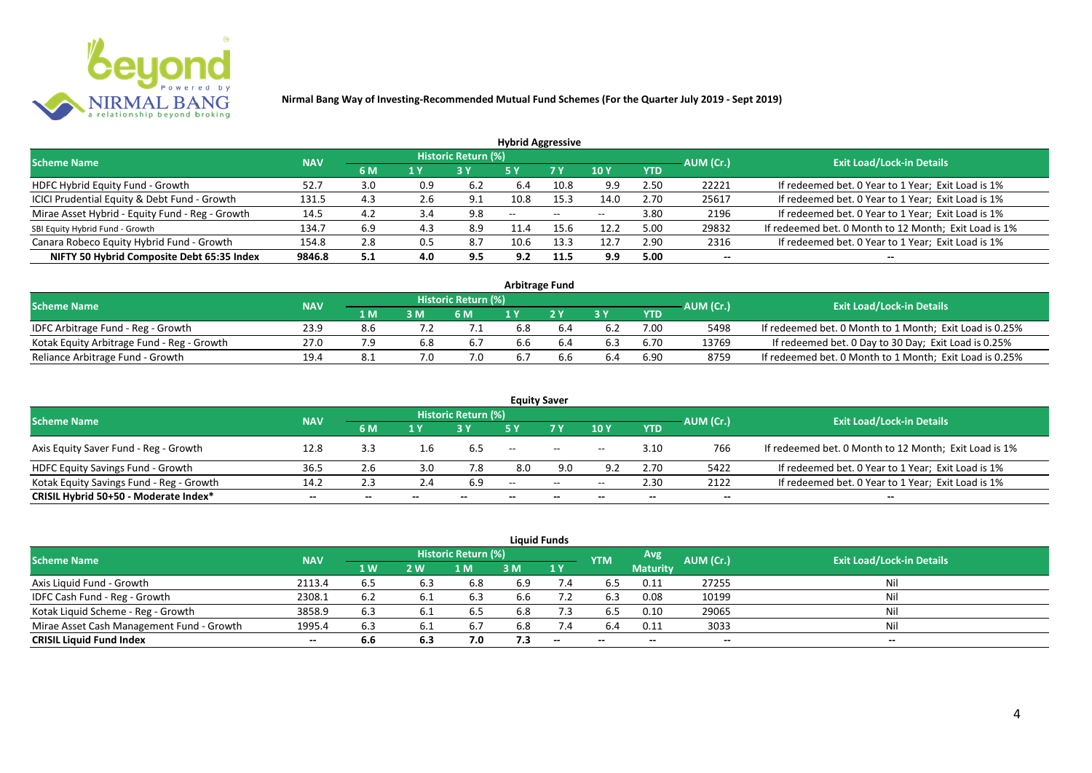

|                                                 |            |     |                         |                     | <b>Hybrid Aggressive</b> |                          |       |            |           |                                                       |
|-------------------------------------------------|------------|-----|-------------------------|---------------------|--------------------------|--------------------------|-------|------------|-----------|-------------------------------------------------------|
| <b>Scheme Name</b>                              | <b>NAV</b> |     |                         | Historic Return (%) |                          |                          |       |            | AUM (Cr.) | <b>Exit Load/Lock-in Details</b>                      |
|                                                 |            | 6 M | $\mathbf{A} \mathbf{V}$ |                     | '5 Y                     | 7 Y                      | 10Y   | <b>YTD</b> |           |                                                       |
| HDFC Hybrid Equity Fund - Growth                | 52.7       | 3.0 | 0.9                     | 6.2                 | 6.4                      | 10.8                     | 9.9   | 2.50       | 22221     | If redeemed bet. 0 Year to 1 Year; Exit Load is 1%    |
| ICICI Prudential Equity & Debt Fund - Growth    | 131.5      | 4.3 | 2.6                     | 9.1                 | 10.8                     | 15.3                     | 14.0  | 2.70       | 25617     | If redeemed bet. 0 Year to 1 Year; Exit Load is 1%    |
| Mirae Asset Hybrid - Equity Fund - Reg - Growth | 14.5       | 4.2 |                         | 9.8                 | $- -$                    | $\overline{\phantom{m}}$ | $- -$ | 3.80       | 2196      | If redeemed bet. 0 Year to 1 Year; Exit Load is 1%    |
| SBI Equity Hybrid Fund - Growth                 | 134.7      | 6.9 | 4.3                     | 8.9                 |                          |                          | 12.2  | 5.0C       | 29832     | If redeemed bet. 0 Month to 12 Month; Exit Load is 1% |
| Canara Robeco Equity Hybrid Fund - Growth       | 154.8      | 2.8 | 0.5                     | 8.7                 | 10.6                     | $13.3^{\circ}$           | 12.7  | 2.90       | 2316      | If redeemed bet. 0 Year to 1 Year; Exit Load is 1%    |
| NIFTY 50 Hybrid Composite Debt 65:35 Index      | 9846.8     | 5.1 | 4.0                     | 9.5                 | 9.2                      | 11.5                     | 9.9   | 5.00       | $- -$     | $- -$                                                 |

| Arbitrage Fund                             |            |     |     |                            |     |    |     |            |           |                                                         |  |  |  |
|--------------------------------------------|------------|-----|-----|----------------------------|-----|----|-----|------------|-----------|---------------------------------------------------------|--|--|--|
| <b>Scheme Name</b>                         | <b>NAV</b> |     |     | <b>Historic Return (%)</b> |     |    |     |            | AUM (Cr.) | <b>Exit Load/Lock-in Details</b>                        |  |  |  |
|                                            |            | 1 M | 3 M | 6 M                        |     | 2V | эv  | <b>YTD</b> |           |                                                         |  |  |  |
| IDFC Arbitrage Fund - Reg - Growth         | 23.9       | 8.6 |     |                            | 6.8 |    |     | 7.00       | 5498      | If redeemed bet. 0 Month to 1 Month; Exit Load is 0.25% |  |  |  |
| Kotak Equity Arbitrage Fund - Reg - Growth | 27.0       |     | 6.8 | 6.7                        | 6.6 |    |     | 6.70       | 13769     | If redeemed bet. 0 Day to 30 Day; Exit Load is 0.25%    |  |  |  |
| Reliance Arbitrage Fund - Growth           | 19.4       | 8.1 |     | 7.0                        | 6.7 |    | 6.4 | 6.90       | 8759      | If redeemed bet. 0 Month to 1 Month; Exit Load is 0.25% |  |  |  |

|                                          |            |       |               |                     | <b>Equity Saver</b> |                                                                                                   |                          |            |           |                                                       |
|------------------------------------------|------------|-------|---------------|---------------------|---------------------|---------------------------------------------------------------------------------------------------|--------------------------|------------|-----------|-------------------------------------------------------|
| <b>Scheme Name</b>                       | <b>NAV</b> |       |               | Historic Return (%) |                     |                                                                                                   |                          |            |           | <b>Exit Load/Lock-in Details</b>                      |
|                                          |            | 6 M   | 1 Y           |                     |                     | 7 <sub>V</sub>                                                                                    | 10Y                      | <b>YTD</b> | AUM (Cr.) |                                                       |
| Axis Equity Saver Fund - Reg - Growth    | 12.8       | 3.3   |               | b.5                 | $- -$               | $\hspace{0.05cm} \hspace{0.02cm} \hspace{0.02cm} \hspace{0.02cm} \hspace{0.02cm} \hspace{0.02cm}$ | $- -$                    | 3.10       | 766       | If redeemed bet. 0 Month to 12 Month; Exit Load is 1% |
| HDFC Equity Savings Fund - Growth        | 36.5       | 2.6   |               | 7.8                 | 8.0                 | 9.0                                                                                               | 9.2                      | 2.70       | 5422      | If redeemed bet. 0 Year to 1 Year; Exit Load is 1%    |
| Kotak Equity Savings Fund - Reg - Growth | 14.2       | 2.3   | $2.4^{\circ}$ | 6.9                 | $\sim$ $\sim$       | $\hspace{0.05cm} -\hspace{0.05cm} -\hspace{0.05cm}$                                               | $\overline{\phantom{a}}$ | 2.30       | 2122      | If redeemed bet. 0 Year to 1 Year; Exit Load is 1%    |
| CRISIL Hybrid 50+50 - Moderate Index*    | $- -$      | $- -$ |               | $- -$               | --                  |                                                                                                   |                          | --         | --        | $- -$                                                 |

|                                           |            |           |     |                     |     | <b>Liquid Funds</b>      |            |                 |           |                                  |
|-------------------------------------------|------------|-----------|-----|---------------------|-----|--------------------------|------------|-----------------|-----------|----------------------------------|
| <b>Scheme Name</b>                        | <b>NAV</b> |           |     | Historic Return (%) |     |                          | <b>YTM</b> | Avg             | AUM (Cr.) | <b>Exit Load/Lock-in Details</b> |
|                                           |            | <b>1W</b> | 2 W | M                   | 3 M | 1Y                       |            | <b>Maturity</b> |           |                                  |
| Axis Liquid Fund - Growth                 | 2113.4     | 6.5       | 6.3 | 6.8                 | 6.9 | 7.4                      | 6.5        | 0.11            | 27255     | Nil                              |
| IDFC Cash Fund - Reg - Growth             | 2308.1     | 6.2       |     | 6.3                 | 6.6 |                          | 6.3        | 0.08            | 10199     | Nil                              |
| Kotak Liquid Scheme - Reg - Growth        | 3858.9     | 6.3       | 6.1 | 6.5                 | 6.8 | 7.3                      | 6.5        | 0.10            | 29065     | Nil                              |
| Mirae Asset Cash Management Fund - Growth | 1995.4     | 6.3       |     | 6.7                 | 6.8 | 7.4                      | 6.4        | 0.11            | 3033      | Nil                              |
| <b>CRISIL Liquid Fund Index</b>           | $- -$      | 6.6       | 6.3 | 7.0                 | 7.3 | $\overline{\phantom{a}}$ | $- -$      | $- -$           | $- -$     | $- -$                            |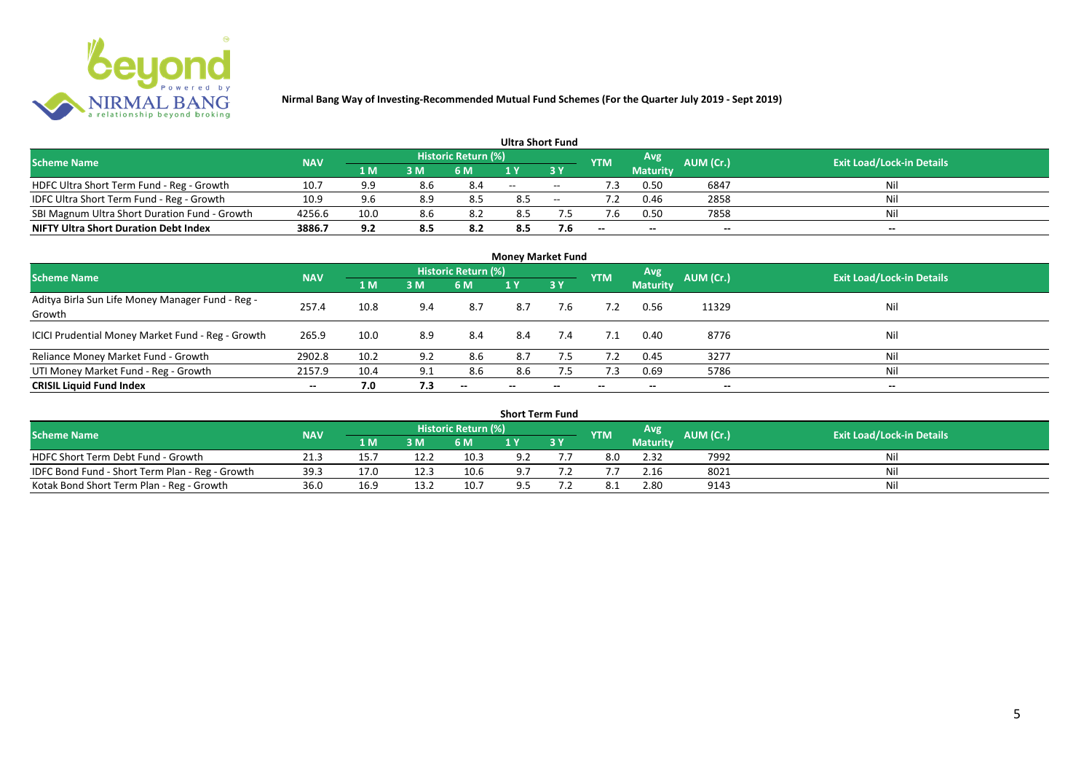

|                                               |            |      |     |                            | <b>Ultra Short Fund</b> |        |            |                 |           |                                  |
|-----------------------------------------------|------------|------|-----|----------------------------|-------------------------|--------|------------|-----------------|-----------|----------------------------------|
| <b>Scheme Name</b>                            | <b>NAV</b> |      |     | <b>Historic Return (%)</b> |                         |        | <b>YTM</b> | Avg             | AUM (Cr.) | <b>Exit Load/Lock-in Details</b> |
|                                               |            | 1 M  | 3 M | 6 M                        | 1 Y                     |        |            | <b>Maturity</b> |           |                                  |
| HDFC Ultra Short Term Fund - Reg - Growth     | 10.7       | 9.9  | 8.6 | 8.4                        | $-$                     | $\sim$ | ٠3         | 0.50            | 6847      | Nil                              |
| IDFC Ultra Short Term Fund - Reg - Growth     | 10.9       | 9.6  | 8.9 |                            | 8.5                     | $\sim$ |            | 0.46            | 2858      | Nil                              |
| SBI Magnum Ultra Short Duration Fund - Growth | 4256.6     | 10.0 | 8.6 |                            | 8.5                     |        |            | 0.50            | 7858      | Nil                              |
| <b>NIFTY Ultra Short Duration Debt Index</b>  | 3886.7     | 9.2  | 8.5 | 8.2                        | 8.5                     | 7.6    | $- -$      | $- -$           | $- -$     | $- -$                            |

| <b>Money Market Fund</b>                                   |            |      |     |                     |                          |     |            |                 |           |                                  |  |  |  |  |
|------------------------------------------------------------|------------|------|-----|---------------------|--------------------------|-----|------------|-----------------|-----------|----------------------------------|--|--|--|--|
| <b>Scheme Name</b>                                         | <b>NAV</b> |      |     | Historic Return (%) |                          |     | <b>YTM</b> | Avg             | AUM (Cr.) | <b>Exit Load/Lock-in Details</b> |  |  |  |  |
|                                                            |            | 1 M  | 3M  | 6 M                 | 1Y                       | 3 Y |            | <b>Maturity</b> |           |                                  |  |  |  |  |
| Aditya Birla Sun Life Money Manager Fund - Reg -<br>Growth | 257.4      | 10.8 | 9.4 | 8.7                 | 8.7                      | 7.6 |            | 0.56            | 11329     | Nil                              |  |  |  |  |
| ICICI Prudential Money Market Fund - Reg - Growth          | 265.9      | 10.0 | 8.9 | 8.4                 | 8.4                      | 7.4 | 7.1        | 0.40            | 8776      | Nil                              |  |  |  |  |
| Reliance Money Market Fund - Growth                        | 2902.8     | 10.2 | 9.2 | 8.6                 | 8.7                      | 7.5 | 7.2        | 0.45            | 3277      | Nil                              |  |  |  |  |
| UTI Money Market Fund - Reg - Growth                       | 2157.9     | 10.4 | 9.1 | 8.6                 | 8.6                      | 7.5 | 7.3        | 0.69            | 5786      | Nil                              |  |  |  |  |
| <b>CRISIL Liquid Fund Index</b>                            | $- -$      | 7.0  | 7.3 | $- -$               | $\overline{\phantom{a}}$ | --  | $- -$      | $- -$           | $- -$     | $\overline{\phantom{a}}$         |  |  |  |  |

| <b>Short Term Fund</b>                          |            |      |      |                            |     |    |            |                 |           |                                  |  |  |  |  |
|-------------------------------------------------|------------|------|------|----------------------------|-----|----|------------|-----------------|-----------|----------------------------------|--|--|--|--|
| <b>Scheme Name</b>                              | <b>NAV</b> |      |      | <b>Historic Return (%)</b> |     |    | <b>YTM</b> | Avg             | AUM (Cr.) | <b>Exit Load/Lock-in Details</b> |  |  |  |  |
|                                                 |            | 1 M  | 3 M  | 6 M                        |     | 3Y |            | <b>Maturity</b> |           |                                  |  |  |  |  |
| HDFC Short Term Debt Fund - Growth              | 21.3       | 15.7 | 12.2 | 10.3                       | 9.2 |    | 8.0        | 2.32            | 7992      | Nil                              |  |  |  |  |
| IDFC Bond Fund - Short Term Plan - Reg - Growth | 39.3       | 17.0 | 12.3 | 10.6                       | 9.7 |    |            | 2.16            | 8021      | Nil                              |  |  |  |  |
| Kotak Bond Short Term Plan - Reg - Growth       | 36.0       | 16.9 | 13.2 | 10.7                       | 9.5 |    |            | 2.80            | 9143      | Nil                              |  |  |  |  |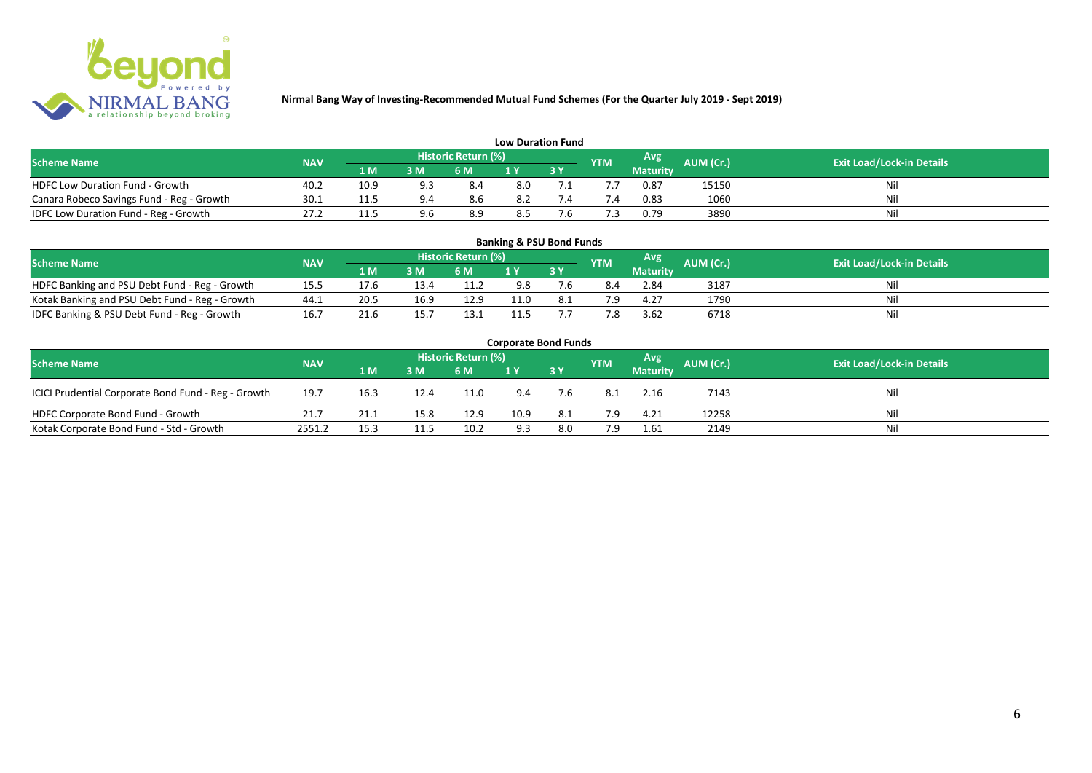

| <b>Low Duration Fund</b>                  |            |      |     |                            |     |  |            |          |           |                                  |  |  |  |  |
|-------------------------------------------|------------|------|-----|----------------------------|-----|--|------------|----------|-----------|----------------------------------|--|--|--|--|
| <b>Scheme Name</b>                        | <b>NAV</b> |      |     | <b>Historic Return (%)</b> |     |  | <b>YTM</b> | Avg      | AUM (Cr.) | <b>Exit Load/Lock-in Details</b> |  |  |  |  |
|                                           |            | 1 M  | 3 M | 6 M                        | 1 Y |  |            | Maturity |           |                                  |  |  |  |  |
| <b>HDFC Low Duration Fund - Growth</b>    | 40.2       | 10.9 | Q 2 | 8.4                        | 8.0 |  |            | 0.87     | 15150     | Nil                              |  |  |  |  |
| Canara Robeco Savings Fund - Reg - Growth | 30.1       | 11.5 |     | 8.6                        | 8.2 |  | '.4        | 0.83     | 1060      | Nil                              |  |  |  |  |
| IDFC Low Duration Fund - Reg - Growth     | 27.2       | 11.5 | 9.6 | 8.9                        | 8.5 |  |            | 0.79     | 3890      | Nil                              |  |  |  |  |

| <b>Banking &amp; PSU Bond Funds</b>            |                                                                                                                                                    |      |      |      |      |     |     |                 |      |    |  |  |  |  |  |
|------------------------------------------------|----------------------------------------------------------------------------------------------------------------------------------------------------|------|------|------|------|-----|-----|-----------------|------|----|--|--|--|--|--|
|                                                | <b>Historic Return (%)</b><br><b>Avg</b><br><b>AUM (Cr.)</b><br><b>Exit Load/Lock-in Details</b><br><b>Scheme Name</b><br><b>NAV</b><br><b>YTM</b> |      |      |      |      |     |     |                 |      |    |  |  |  |  |  |
|                                                |                                                                                                                                                    | 1 M  | 3 M  | 6 M  |      | 3 Y |     | <b>Maturity</b> |      |    |  |  |  |  |  |
| HDFC Banking and PSU Debt Fund - Reg - Growth  | 15.5                                                                                                                                               |      | 13.4 | 11.2 | 9.8  |     |     | 2.84            | 3187 | Ni |  |  |  |  |  |
| Kotak Banking and PSU Debt Fund - Reg - Growth | 44.1                                                                                                                                               | 20.5 | 16.9 | 12.9 | 11.0 |     | 7.9 | 4.27            | 1790 |    |  |  |  |  |  |
| IDFC Banking & PSU Debt Fund - Reg - Growth    | 16.7                                                                                                                                               | 21.6 | 15.7 | 13.1 |      |     |     | 3.62            | 6718 | Ni |  |  |  |  |  |

| <b>Corporate Bond Funds</b>                         |            |      |      |                     |      |            |            |                 |           |                                  |  |  |  |  |
|-----------------------------------------------------|------------|------|------|---------------------|------|------------|------------|-----------------|-----------|----------------------------------|--|--|--|--|
| <b>Scheme Name</b>                                  | <b>NAV</b> |      |      | Historic Return (%) |      |            | <b>YTM</b> | Avg             | AUM (Cr.) | <b>Exit Load/Lock-in Details</b> |  |  |  |  |
|                                                     |            | 1 M  | 3 M  | 6 M                 |      | <b>3 Y</b> |            | <b>Maturity</b> |           |                                  |  |  |  |  |
| ICICI Prudential Corporate Bond Fund - Reg - Growth | 19.7       | 16.3 | 12.4 | 11.0                | 9.4  | 7.6        | -8.1       | 2.16            | 7143      | Nil                              |  |  |  |  |
| HDFC Corporate Bond Fund - Growth                   | 21.7       | 21.1 | 15.8 | 12.9                | 10.9 | 8.1        | 7.9        | 4.21            | 12258     | Nil                              |  |  |  |  |
| Kotak Corporate Bond Fund - Std - Growth            | 2551.2     | 15.3 | 11.5 | 10.2                | 9.3  | 8.0        | 7.9        | 1.61            | 2149      | Nil                              |  |  |  |  |